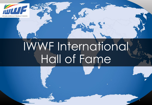

# IWWF International Hall of Fame

1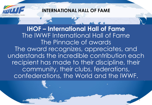

**IHOF – International Hall of Fame** The IWWF International Hall of Fame The Pinnacle of awards The award recognizes, appreciates, and understands the incredible contribution each recipient has made to their discipline, their community, their clubs, federations, confederations, the World and the IWWF.

2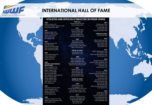

#### ATHLETES AND OFFICIALS INDUCTED IN PRIOR YEARS

#### 1989

Andre Couteau SUI Willa Worthington McGuire USA Alfredo Mendoza MEX

#### 1991

Elizabeth Allan USA **William P Barlow USA Franco Carraro ITA Marina Dora SUI** lean Muller FRA

#### 1993

George Athans CAN Alan Clark AUS William D Clifford USA Mike Hazelwood GBR Mike Suyderhoud USA

#### 1995

 $\ddot{\mathbf{a}}$ 

Ivan Cantacuzene SUI-Carlos Suarez VEN Cindy Todd USA Roby Zucchi ITA

#### 1996

**GOLDEN ANNIVERSARY SELECTIONS** Piera Castelvetri ITA

**Bruce Cockburn AUS** Roger Codere CAN **Richard Cowell BWI** Rene Daumas MEX Jean-Jacques Finsterwald SUI Simon Khoury LEB Betty Leighton AUS<br>David Nations GBR Dick Pope, Sr. USA **Brett Wing AUS** 

#### 1997

Ana Maria Carrasco VEN **Geoff Carington AUS** Sylvie Hulsemann LUX Neville May AUS **Karen Neville AUS** 

#### 1999

**Chantal Amade-Escot FRA** Maria Victoria Carrasco VEN Ian Faulkner AUS

1999 cont. Renate Hansluvka AUT

**Chuck Stearns USA** 

#### 2001

**Bruce Douglas NZL** Sammy Duval USA Franz Kirsch GER Deena Mapple USA Jean-Marie Muller FRA

#### 2003

**Bob Corson USA** Sylvie Maurial FRA **Ricky McCormick USA** Jeanette Stewart-Wood GBR **Glenn Thurlow AUS** 

> **ORDER OF MERIT** George Blair USA Ralph Melon USA

#### 2005

Wayne Grimditch USA Max Kirwan AM AUS Helena Kjellander SWE Judy McClintock-Messer CAN Natalia Roumiantseva RUS

#### 2007

Andres Botero COL **Bob LaPoint USA Patrice Martin FRA Bruce Neville AUS** Aubrey Sheena GBR

#### **ORDER OF MERIT Bruno Rixen GER**

2009 Andrea Alessi ITA **Tory Baggiano USA** Susi Graham-McCormick CAN Britt & Tawn Larsen USA Kaye Thurlow-Faulkner AUS

#### 2011

William P Barlow Jr USA Kim Izard (Lampard) AUS Andy Mapple OBE GBR Mick Neville AUS **Bib Olivers ESP** 

2013 **Bill Bowness USA** Ron Ferguson AUS Lucky Lowe USA Toni Neville AUS Nadine de Villiers RSA

> **ORDER OF MERIT** lan Birdsall GBR

#### 2015

Jeffry Armstrong USA Mike Kjellander SWE **Cory Pickos USA** Mike Seipel USA Clint Ward CAN

#### 2017

Ageliki Andripoulou GRE Kris LaPoint USA Kristi Overton Johnson USA Ron Scarpa USA

#### 2019

Debbie Nordblad USA Jennifer Caller Schwenk USA Kuno Ritschard SUI Jim Grew USA **Garry Barton AUS** 

#### 2021

Ann Kennedy AUS Desmond Burke-Kennedy IRE Wayne Mawer AUS Kevin Murfitt AUS **Colin Hart GBR** Jim McCormick USA Nicolas Forestier FRA Kim Lumley GBR **Bill Furbish USA** Stefan Rauchenwald AUST Fran Hynes AUS

#### 2022

Andy Harris GBR Gill Hill Miller GBR Oscar Foot Mann AUS Lori Powell Drell USA Skip Gilkerson USA Tommy Bartlett USA

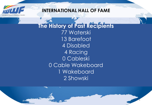

**The History of Past Recipients** 77 Waterski 13 Barefoot 4 Disabled 4 Racing 0 Cableski 0 Cable Wakeboard 1 Wakeboard 2 Showski

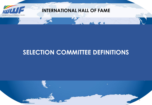

## **SELECTION COMMITTEE DEFINITIONS**

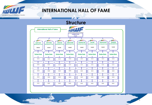

-74

 $-1$ 

### **INTERNATIONAL HALL OF FAME**

#### **Structure**

**28.** 



6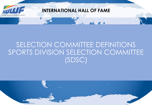

## SELECTION COMMITTEE DEFINITIONS SPORTS DIVISION SELECTION COMMITTEE (SDSC)

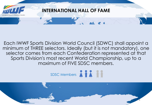

#### Each IWWF Sports Division World Council (SDWC) shall appoint a Each IWWF Sports Division World Council (SDWC) shall appoint a minimum of THREE selectors. Ideally (but it is not mandatory), one minimum of THREE selectors. Ideally (but it is not mandatory), one selector comes from each Confederation represented at that selector comes from each Confederation represented at that Sports Division's most recent World Championship, up to a Sports Division's most recent World Championship, up to a maximum of FIVE SDSC members. maximum of FIVE SDSC members.

 $SDCC$  Mombors SDSC Members

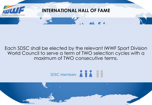

### Each SDSC shall be elected by the relevant IWWF Sport Division World Council to serve a term of TWO selection cycles with a Sports Division and Ximum of TWO consecutive terms.



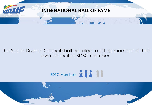

#### $\Gamma$  is a function of  $\Gamma$  is not manipulated by  $\Gamma$  is not manipulated by  $\Gamma$  is not manipulated by  $\Gamma$ ie sports Division Council snall not elect a situng member of the<br>... Sports Division Council as SDSC member. The Sports Division Council shall not elect a sitting member of their own council as SDSC member.



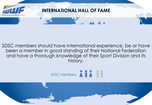

 $E_{\rm{R}}$  is a sports of the sports division  $\mathbb{R}$  shall approximate  $\mathbb{R}$  shall approximate  $\mathbb{R}$ suschment product the International experience, be or nave peen a memper in good sianaing of meil national reaeration<br>see theme settlemented because at their from this is the see that id nave a morough knowledge of meir sport Division and I maximum of Five Superior Superior Superior Superior Superior Superior Superior Superior Superior Superior Superior Superior Superior Superior Superior Superior Superior Superior Superior Superior Superior Superior Superior SDSC members should have international experience, be or have been a member in good standing of their National Federation and have a thorough knowledge of their Sport Division and its history.



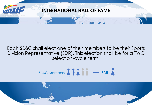

#### Each SDSC shall elect one of their members to be their Sports Division Representative (SDR). This election shall be for a TWO Sports Division in the Sports Division of the Most recent World Championship, up to a selection-cycle term. maximum of FIVE SUS controls and the FIVE SUS controls and the FIVE SUS controls are seen as a second susception



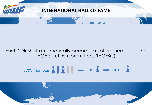

#### Each SDR shall automatically become a voting member of the IHOF Scrutiny Committee. (IHOFSC)

#### $\mathcal{S}$  and  $\mathcal{R}$  , and  $\mathcal{S}$  and  $\mathcal{S}$ SDSC Members  $\setminus$   $\setminus$   $\setminus$   $\setminus$   $\setminus$   $\longrightarrow$  SDR  $\setminus$   $\longrightarrow$  IHOFSC

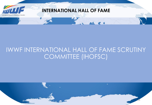

## IWWF INTERNATIONAL HALL OF FAME SCRUTINY COMMITTEE (IHOFSC)

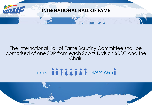

### The International Hall of Fame Scrutiny Committee shall be comprised of one SDR from each Sports Division SDSC and the Chair.



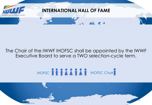

### The Chair of the IWWF IHOFSC shall be appointed by the IWWF Executive Board to serve a TWO selection-cycle term.

# IHOFSC ANDEN ANDEN IHOFSC Chair

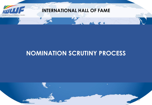

## **NOMINATION SCRUTINY PROCESS**

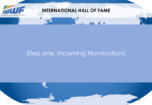

## Step one. Incoming Nominations

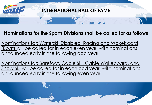

#### **Nominations for the Sports Divisions shall be called for as follows**

Nominations for: Waterski, Disabled, Racing and Wakeboard (Boat) will be called for in each even year, with nominations announced early in the following odd year.

announced early in the following even year. Nominations for: Barefoot, Cable Ski, Cable Wakeboard, and Show Ski will be called for in each odd year, with nominations

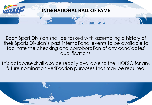

Each Sport Division shall be tasked with assembling a history of their Sports Division's past international events to be available to facilitate the checking and corroboration of any candidates' qualifications.

This database shall also be readily available to the IHOFSC for any future nomination verification purposes that may be required.

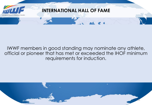

#### IWWF members in good standing may nominate any athlete, official or pioneer that has met or exceeded the IHOF minimum requirements for induction.

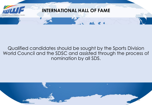

### Qualified candidates should be sought by the Sports Division World Council and the SDSC and assisted through the process of nomination by all SDS.

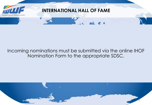

#### Incoming nominations must be submitted via the online IHOF Nomination Form to the appropriate SDSC.

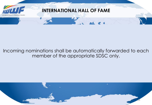

#### Incoming nominations shall be automatically forwarded to each member of the appropriate SDSC only.

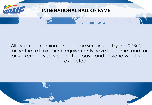

#### All incoming nominations shall be scrutinized by the SDSC, ensuring that all minimum requirements have been met and for any exemplary service that is above and beyond what is expected.

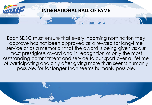

SDSC - Selectors Each SDSC must ensure that every incoming nomination they approve has not been approved as a reward for long-time service or as a memorial; that the award is being given as our most prestigious award and in recognition of only the most outstanding commitment and service to our sport over a lifetime of participating and only after giving more than seems humanly possible, for far longer than seems humanly possible.

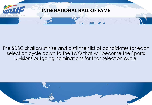

#### The SDSC shall scrutinize and distil their list of candidates for each selection cycle down to the TWO that will become the Sports Divisions outgoing nominations for that selection cycle.

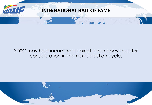

#### SDSC may hold incoming nominations in abeyance for consideration in the next selection cycle.

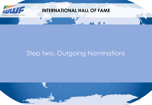

## Step two. Outgoing Nominations

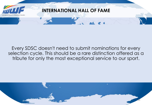

#### Every SDSC doesn't need to submit nominations for every selection cycle. This should be a rare distinction offered as a tribute for only the most exceptional service to our sport.

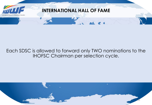

#### Each SDSC is allowed to forward only TWO nominations to the IHOFSC Chairman per selection cycle.

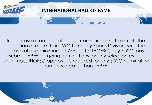

In the case of an exceptional circumstance that prompts the induction of more than TWO from any Sports Division, with the approval of a minimum of 75% of the IHOFSC, any SDSC may submit THREE outgoing nominations for any selection cycle. Unanimous IHOFSC approval is required for any SDSC nominating numbers greater than THREE.

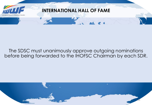

#### The SDSC must unanimously approve outgoing nominations before being forwarded to the IHOFSC Chairman by each SDR.

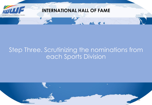

## Step Three. Scrutinizing the nominations from each Sports Division

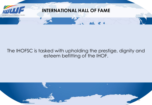

### The IHOFSC is tasked with upholding the prestige, dignity and esteem befitting of the IHOF.

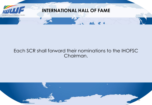

#### Each SCR shall forward their nominations to the IHOFSC Chairman.

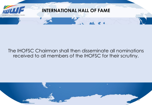

#### The IHOFSC Chairman shall then disseminate all nominations received to all members of the IHOFSC for their scrutiny.

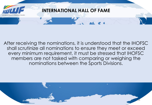

After receiving the nominations, it is understood that the IHOFSC shall scrutinize all nominations to ensure they meet or exceed every minimum requirement, it must be stressed that IHOFSC members are not tasked with comparing or weighing the nominations between the Sports Divisions.

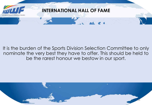

#### It is the burden of the Sports Division Selection Committee to only nominate the very best they have to offer. This should be held to be the rarest honour we bestow in our sport.

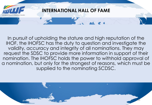

In pursuit of upholding the stature and high reputation of the IHOF, the IHOFSC has the duty to question and investigate the validity, accuracy and integrity of all nominations. They may request the SDSC to provide more information in support of their nomination. The IHOFSC holds the power to withhold approval of a nomination, but only for the strongest of reasons, which must be supplied to the nominating SCDSC.

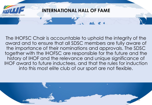

The IHOFSC Chair is accountable to uphold the integrity of the award and to ensure that all SDSC members are fully aware of the importance of their nominations and approvals. The SDSC together with the IHOFSC are responsible for the future and the history of IHOF and the relevance and unique significance of IHOF award to future inductees, and that the rules for induction into this most elite club of our sport are not flexible.

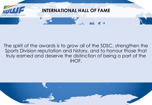

#### The spirit of the awards is to grow all of the SDSC, strengthen the Sports Division reputation and history, and to honour those that truly earned and deserve the distinction of being a part of the IHOF.

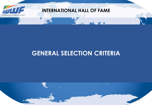

## **GENERAL SELECTION CRITERIA**

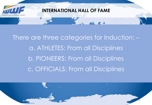

 $\sim$   $\sim$   $\sim$   $\sim$   $\sim$   $\sim$   $\sim$ There are three categories for Induction: – a. ATHLETES: From all Disciplines b. PIONEERS: From all Disciplines c. OFFICIALS: From all Disciplines

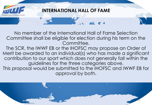

No member of the International Hall of Fame Selection Committee shall be eligible for election during his term on the Committee.

The SCR, the IWWF EB or the IHOFSC may propose an Order of Merit be awarded to an individual(s) who has made a significant contribution to our sport which does not generally fall within the guidelines for the three categories above.

approval by both. This proposal would be submitted to the IHOFSC and IWWF EB for

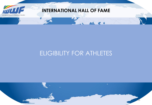

## ELIGIBILITY FOR ATHLETES

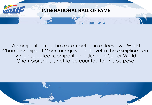

A competitor must have competed in at least two World Championships at Open or equivalent Level in the discipline from which selected. Competition in Junior or Senior World Championships is not to be counted for this purpose.

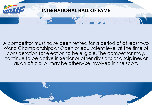

A competitor must have been retired for a period of at least two World Championships at Open or equivalent level at the time of consideration for election to be eligible. The competitor may, continue to be active in Senior or other divisions or disciplines or as an official or may be otherwise involved in the sport.

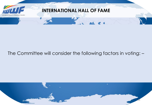

### The Committee will consider the following factors in voting: –

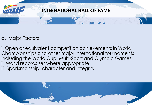

a. Major Factors

i. Open or equivalent competition achievements in World Championships and other major international tournaments including the World Cup, Multi-Sport and Olympic Games ii. World records set where appropriate iii. Sportsmanship, character and integrity

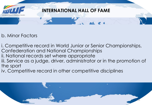

### b. Minor Factors

i. Competitive record in World Junior or Senior Championships, Confederation and National Championships ii. National records set where appropriate iii. Service as a judge, driver, administrator or in the promotion of the sport

iv. Competitive record in other competitive disciplines

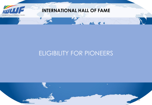

## ELIGIBILITY FOR PIONEERS

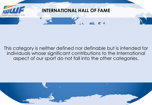

#### This category is neither defined nor definable but is intended for individuals whose significant contributions to the International aspect of our sport do not fall into the other categories.

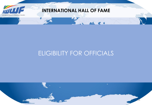

## ELIGIBILITY FOR OFFICIALS

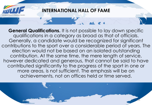

more areas, is not sufficient. The emphasis will be on **General Qualifications.** It is not possible to lay down specific qualifications in a category as broad as that of officials. Generally, a candidate would be recognized for significant contributions to the sport over a considerable period of years. The election would not be based on an isolated outstanding contribution. At the same time, the mere length of service, however dedicated and generous, that cannot be said to have contributed significantly to the progress of the sport in one or achievements, not on offices held or time served.

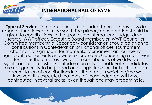

accumulation of contributions in all the areas in which he/she was **Type of Service.** The term 'official' is intended to encompass a wide range of functions within the sport. The primary consideration should be given to contributions to the sport as an International judge, driver, scorer, IWWF officer, Executive Board member, or IWWF Council or Committee membership. Secondary consideration should be given to contributions in Confederation or National offices, tournament chairman of significant tournaments, tournament announcer at significant tournaments and writer or promoter. Concerning all of these functions the emphasis will be on contributions of worldwide significance – not just at Confederation or National level. Candidates are not generally to be judged on a single function, but rather on an involved. It is expected that most of those inducted will have contributed in several areas, even though one may predominate.

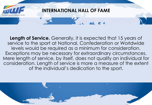

**Length of Service.** Generally, it is expected that 15 years of service to the sport at National, Confederation or Worldwide levels would be required as a minimum for consideration. Exceptions may be necessary for extraordinary circumstances. Mere length of service, by itself, does not qualify an individual for consideration. Length of service is more a measure of the extent of the individual's dedication to the sport.

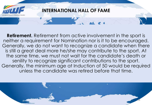

unless the candidate was retired before that time. **Retirement.** Retirement from active involvement in the sport is neither a requirement for Nomination nor is it to be encouraged. Generally, we do not want to recognize a candidate when there is still a great deal more he/she may contribute to the sport. At the same time, we must not wait for the candidate's death or senility to recognize significant contributions to the sport. Generally, the minimum age at Induction of 50 would be required